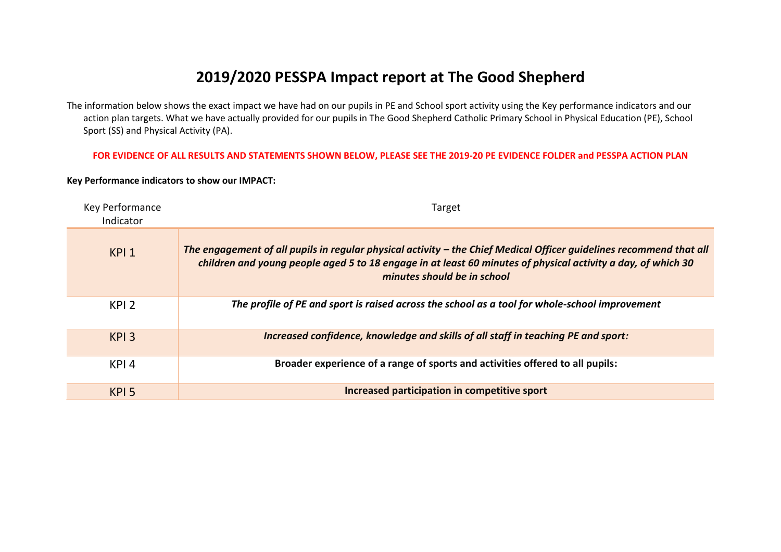# **2019/2020 PESSPA Impact report at The Good Shepherd**

The information below shows the exact impact we have had on our pupils in PE and School sport activity using the Key performance indicators and our action plan targets. What we have actually provided for our pupils in The Good Shepherd Catholic Primary School in Physical Education (PE), School Sport (SS) and Physical Activity (PA).

### **FOR EVIDENCE OF ALL RESULTS AND STATEMENTS SHOWN BELOW, PLEASE SEE THE 2019-20 PE EVIDENCE FOLDER and PESSPA ACTION PLAN**

### **Key Performance indicators to show our IMPACT:**

| Key Performance<br>Indicator | Target                                                                                                                                                                                                                                                             |
|------------------------------|--------------------------------------------------------------------------------------------------------------------------------------------------------------------------------------------------------------------------------------------------------------------|
| KPI <sub>1</sub>             | The engagement of all pupils in regular physical activity - the Chief Medical Officer guidelines recommend that all<br>children and young people aged 5 to 18 engage in at least 60 minutes of physical activity a day, of which 30<br>minutes should be in school |
| KPI <sub>2</sub>             | The profile of PE and sport is raised across the school as a tool for whole-school improvement                                                                                                                                                                     |
| KPI <sub>3</sub>             | Increased confidence, knowledge and skills of all staff in teaching PE and sport:                                                                                                                                                                                  |
| KPI <sub>4</sub>             | Broader experience of a range of sports and activities offered to all pupils:                                                                                                                                                                                      |
| KPI <sub>5</sub>             | Increased participation in competitive sport                                                                                                                                                                                                                       |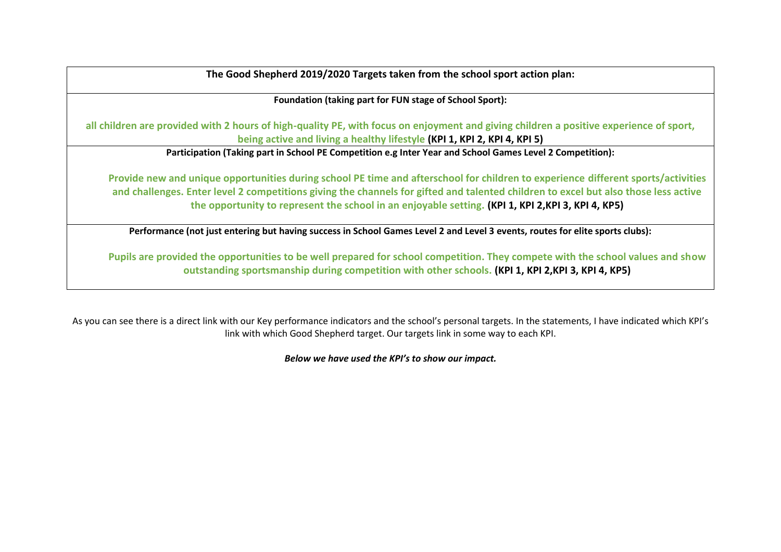**The Good Shepherd 2019/2020 Targets taken from the school sport action plan:**

**Foundation (taking part for FUN stage of School Sport):**

**all children are provided with 2 hours of high-quality PE, with focus on enjoyment and giving children a positive experience of sport, being active and living a healthy lifestyle (KPI 1, KPI 2, KPI 4, KPI 5)**

**Participation (Taking part in School PE Competition e.g Inter Year and School Games Level 2 Competition):**

**Provide new and unique opportunities during school PE time and afterschool for children to experience different sports/activities and challenges. Enter level 2 competitions giving the channels for gifted and talented children to excel but also those less active the opportunity to represent the school in an enjoyable setting. (KPI 1, KPI 2,KPI 3, KPI 4, KP5)**

**Performance (not just entering but having success in School Games Level 2 and Level 3 events, routes for elite sports clubs):**

**Pupils are provided the opportunities to be well prepared for school competition. They compete with the school values and show outstanding sportsmanship during competition with other schools. (KPI 1, KPI 2,KPI 3, KPI 4, KP5)**

As you can see there is a direct link with our Key performance indicators and the school's personal targets. In the statements, I have indicated which KPI's link with which Good Shepherd target. Our targets link in some way to each KPI.

*Below we have used the KPI's to show our impact.*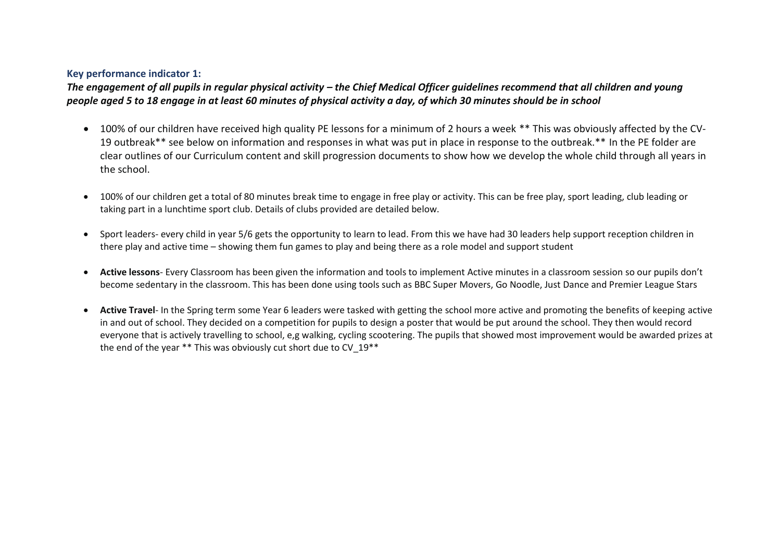# **Key performance indicator 1:**

The engagement of all pupils in regular physical activity – the Chief Medical Officer guidelines recommend that all children and young *people aged 5 to 18 engage in at least 60 minutes of physical activity a day, of which 30 minutes should be in school*

- 100% of our children have received high quality PE lessons for a minimum of 2 hours a week \*\* This was obviously affected by the CV-19 outbreak\*\* see below on information and responses in what was put in place in response to the outbreak.\*\* In the PE folder are clear outlines of our Curriculum content and skill progression documents to show how we develop the whole child through all years in the school.
- 100% of our children get a total of 80 minutes break time to engage in free play or activity. This can be free play, sport leading, club leading or taking part in a lunchtime sport club. Details of clubs provided are detailed below.
- Sport leaders- every child in year 5/6 gets the opportunity to learn to lead. From this we have had 30 leaders help support reception children in there play and active time – showing them fun games to play and being there as a role model and support student
- **Active lessons** Every Classroom has been given the information and tools to implement Active minutes in a classroom session so our pupils don't become sedentary in the classroom. This has been done using tools such as BBC Super Movers, Go Noodle, Just Dance and Premier League Stars
- **Active Travel** In the Spring term some Year 6 leaders were tasked with getting the school more active and promoting the benefits of keeping active in and out of school. They decided on a competition for pupils to design a poster that would be put around the school. They then would record everyone that is actively travelling to school, e,g walking, cycling scootering. The pupils that showed most improvement would be awarded prizes at the end of the year \*\* This was obviously cut short due to CV 19\*\*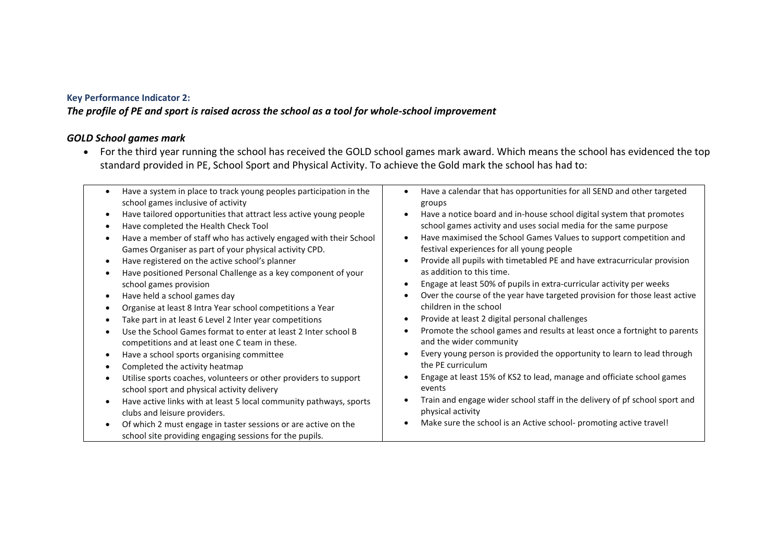# **Key Performance Indicator 2:**

# *The profile of PE and sport is raised across the school as a tool for whole-school improvement*

# *GOLD School games mark*

 For the third year running the school has received the GOLD school games mark award. Which means the school has evidenced the top standard provided in PE, School Sport and Physical Activity. To achieve the Gold mark the school has had to:

| Have a calendar that has opportunities for all SEND and other targeted     |
|----------------------------------------------------------------------------|
|                                                                            |
| Have a notice board and in-house school digital system that promotes       |
| school games activity and uses social media for the same purpose           |
| Have maximised the School Games Values to support competition and          |
| festival experiences for all young people                                  |
| Provide all pupils with timetabled PE and have extracurricular provision   |
|                                                                            |
| Engage at least 50% of pupils in extra-curricular activity per weeks       |
| Over the course of the year have targeted provision for those least active |
|                                                                            |
| Provide at least 2 digital personal challenges                             |
| Promote the school games and results at least once a fortnight to parents  |
|                                                                            |
| Every young person is provided the opportunity to learn to lead through    |
|                                                                            |
| Engage at least 15% of KS2 to lead, manage and officiate school games      |
|                                                                            |
| Train and engage wider school staff in the delivery of pf school sport and |
|                                                                            |
| Make sure the school is an Active school- promoting active travel!         |
|                                                                            |
|                                                                            |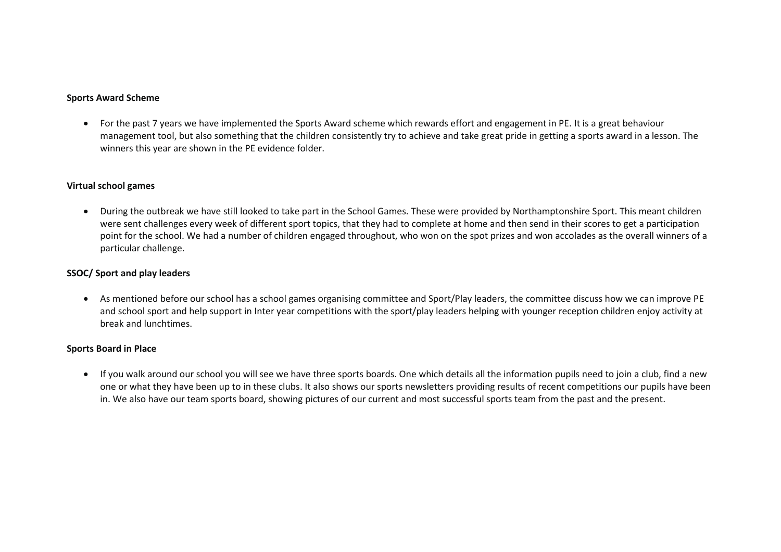### **Sports Award Scheme**

 For the past 7 years we have implemented the Sports Award scheme which rewards effort and engagement in PE. It is a great behaviour management tool, but also something that the children consistently try to achieve and take great pride in getting a sports award in a lesson. The winners this year are shown in the PE evidence folder.

### **Virtual school games**

 During the outbreak we have still looked to take part in the School Games. These were provided by Northamptonshire Sport. This meant children were sent challenges every week of different sport topics, that they had to complete at home and then send in their scores to get a participation point for the school. We had a number of children engaged throughout, who won on the spot prizes and won accolades as the overall winners of a particular challenge.

### **SSOC/ Sport and play leaders**

 As mentioned before our school has a school games organising committee and Sport/Play leaders, the committee discuss how we can improve PE and school sport and help support in Inter year competitions with the sport/play leaders helping with younger reception children enjoy activity at break and lunchtimes.

### **Sports Board in Place**

 If you walk around our school you will see we have three sports boards. One which details all the information pupils need to join a club, find a new one or what they have been up to in these clubs. It also shows our sports newsletters providing results of recent competitions our pupils have been in. We also have our team sports board, showing pictures of our current and most successful sports team from the past and the present.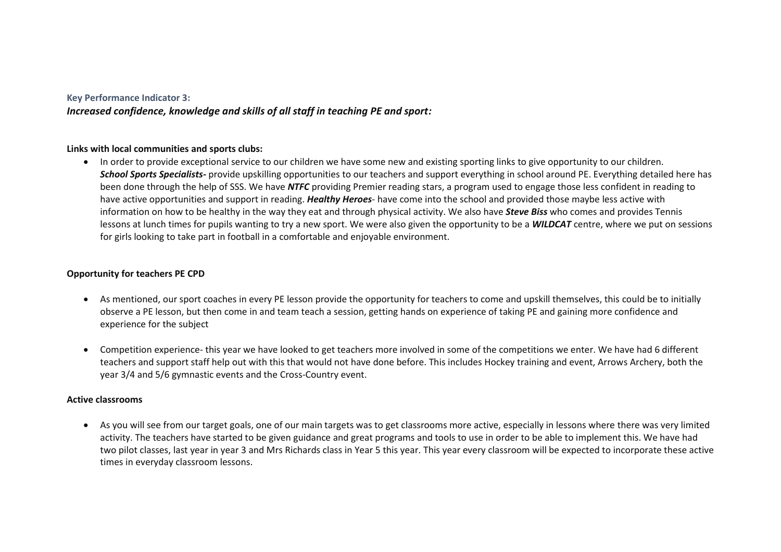### **Key Performance Indicator 3:**

*Increased confidence, knowledge and skills of all staff in teaching PE and sport:*

### **Links with local communities and sports clubs:**

 In order to provide exceptional service to our children we have some new and existing sporting links to give opportunity to our children. *School Sports Specialists-* provide upskilling opportunities to our teachers and support everything in school around PE. Everything detailed here has been done through the help of SSS. We have *NTFC* providing Premier reading stars, a program used to engage those less confident in reading to have active opportunities and support in reading. *Healthy Heroes*- have come into the school and provided those maybe less active with information on how to be healthy in the way they eat and through physical activity. We also have *Steve Biss* who comes and provides Tennis lessons at lunch times for pupils wanting to try a new sport. We were also given the opportunity to be a *WILDCAT* centre, where we put on sessions for girls looking to take part in football in a comfortable and enjoyable environment.

### **Opportunity for teachers PE CPD**

- As mentioned, our sport coaches in every PE lesson provide the opportunity for teachers to come and upskill themselves, this could be to initially observe a PE lesson, but then come in and team teach a session, getting hands on experience of taking PE and gaining more confidence and experience for the subject
- Competition experience- this year we have looked to get teachers more involved in some of the competitions we enter. We have had 6 different teachers and support staff help out with this that would not have done before. This includes Hockey training and event, Arrows Archery, both the year 3/4 and 5/6 gymnastic events and the Cross-Country event.

### **Active classrooms**

 As you will see from our target goals, one of our main targets was to get classrooms more active, especially in lessons where there was very limited activity. The teachers have started to be given guidance and great programs and tools to use in order to be able to implement this. We have had two pilot classes, last year in year 3 and Mrs Richards class in Year 5 this year. This year every classroom will be expected to incorporate these active times in everyday classroom lessons.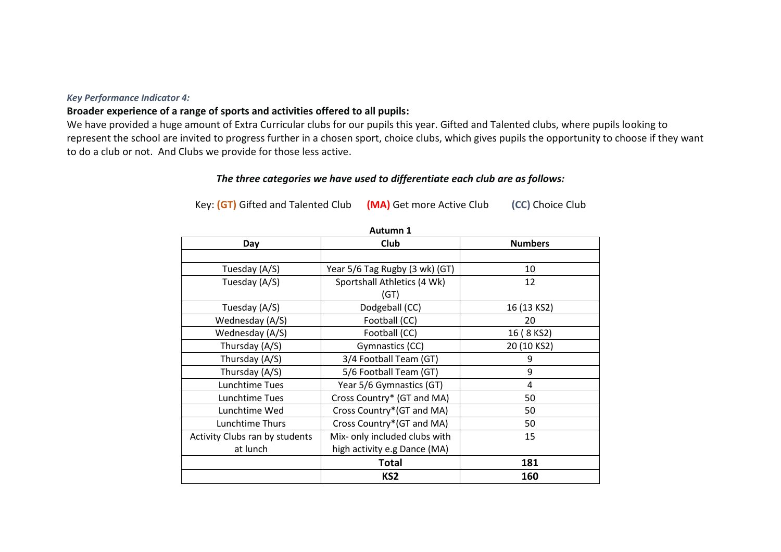### *Key Performance Indicator 4:*

# **Broader experience of a range of sports and activities offered to all pupils:**

We have provided a huge amount of Extra Curricular clubs for our pupils this year. Gifted and Talented clubs, where pupils looking to represent the school are invited to progress further in a chosen sport, choice clubs, which gives pupils the opportunity to choose if they want to do a club or not. And Clubs we provide for those less active.

# *The three categories we have used to differentiate each club are as follows:*

Key: **(GT)** Gifted and Talented Club **(MA)** Get more Active Club **(CC)** Choice Club

| Autunni 1                      |                                |                |  |  |  |  |
|--------------------------------|--------------------------------|----------------|--|--|--|--|
| Day                            | <b>Club</b>                    | <b>Numbers</b> |  |  |  |  |
|                                |                                |                |  |  |  |  |
| Tuesday (A/S)                  | Year 5/6 Tag Rugby (3 wk) (GT) | 10             |  |  |  |  |
| Tuesday (A/S)                  | Sportshall Athletics (4 Wk)    | 12             |  |  |  |  |
|                                | (GT)                           |                |  |  |  |  |
| Tuesday (A/S)                  | Dodgeball (CC)                 | 16 (13 KS2)    |  |  |  |  |
| Wednesday (A/S)                | Football (CC)                  | 20             |  |  |  |  |
| Wednesday (A/S)                | Football (CC)                  | 16 (8 KS2)     |  |  |  |  |
| Thursday (A/S)                 | Gymnastics (CC)                | 20 (10 KS2)    |  |  |  |  |
| Thursday (A/S)                 | 3/4 Football Team (GT)         | 9              |  |  |  |  |
| Thursday (A/S)                 | 5/6 Football Team (GT)         | 9              |  |  |  |  |
| Lunchtime Tues                 | Year 5/6 Gymnastics (GT)       | 4              |  |  |  |  |
| Lunchtime Tues                 | Cross Country* (GT and MA)     | 50             |  |  |  |  |
| Lunchtime Wed                  | Cross Country*(GT and MA)      | 50             |  |  |  |  |
| Lunchtime Thurs                | Cross Country*(GT and MA)      | 50             |  |  |  |  |
| Activity Clubs ran by students | Mix- only included clubs with  | 15             |  |  |  |  |
| at lunch                       | high activity e.g Dance (MA)   |                |  |  |  |  |
|                                | <b>Total</b>                   | 181            |  |  |  |  |
|                                | KS <sub>2</sub>                | 160            |  |  |  |  |

**Autumn 1**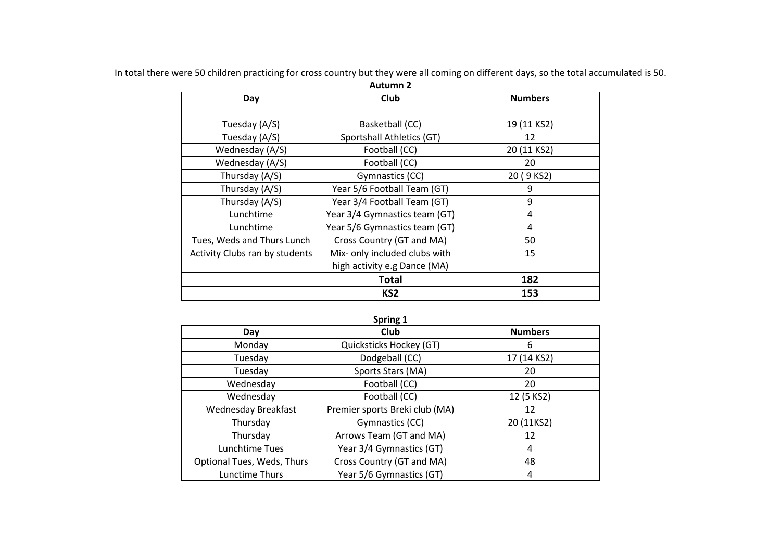| <b>Autumn 2</b>                |                               |                |  |  |  |  |  |
|--------------------------------|-------------------------------|----------------|--|--|--|--|--|
| Day                            | Club                          | <b>Numbers</b> |  |  |  |  |  |
|                                |                               |                |  |  |  |  |  |
| Tuesday (A/S)                  | Basketball (CC)               | 19 (11 KS2)    |  |  |  |  |  |
| Tuesday (A/S)                  | Sportshall Athletics (GT)     | 12             |  |  |  |  |  |
| Wednesday (A/S)                | Football (CC)                 | 20 (11 KS2)    |  |  |  |  |  |
| Wednesday (A/S)                | Football (CC)                 | 20             |  |  |  |  |  |
| Thursday (A/S)                 | Gymnastics (CC)               | 20 (9 KS2)     |  |  |  |  |  |
| Thursday (A/S)                 | Year 5/6 Football Team (GT)   | 9              |  |  |  |  |  |
| Thursday (A/S)                 | Year 3/4 Football Team (GT)   | 9              |  |  |  |  |  |
| Lunchtime                      | Year 3/4 Gymnastics team (GT) | 4              |  |  |  |  |  |
| Lunchtime                      | Year 5/6 Gymnastics team (GT) | 4              |  |  |  |  |  |
| Tues, Weds and Thurs Lunch     | Cross Country (GT and MA)     | 50             |  |  |  |  |  |
| Activity Clubs ran by students | Mix- only included clubs with | 15             |  |  |  |  |  |
|                                | high activity e.g Dance (MA)  |                |  |  |  |  |  |
|                                | <b>Total</b>                  | 182            |  |  |  |  |  |
|                                | KS <sub>2</sub>               | 153            |  |  |  |  |  |

In total there were 50 children practicing for cross country but they were all coming on different days, so the total accumulated is 50.

# **Spring 1**

| Day                        | <b>Club</b>                    | <b>Numbers</b> |
|----------------------------|--------------------------------|----------------|
| Monday                     | Quicksticks Hockey (GT)        | 6              |
| Tuesday                    | Dodgeball (CC)                 | 17 (14 KS2)    |
| Tuesday                    | Sports Stars (MA)              | 20             |
| Wednesday                  | Football (CC)                  | 20             |
| Wednesday                  | Football (CC)                  | 12 (5 KS2)     |
| <b>Wednesday Breakfast</b> | Premier sports Breki club (MA) | 12             |
| Thursday                   | Gymnastics (CC)                | 20 (11KS2)     |
| Thursday                   | Arrows Team (GT and MA)        | 12             |
| Lunchtime Tues             | Year 3/4 Gymnastics (GT)       | 4              |
| Optional Tues, Weds, Thurs | Cross Country (GT and MA)      | 48             |
| Lunctime Thurs             | Year 5/6 Gymnastics (GT)       | 4              |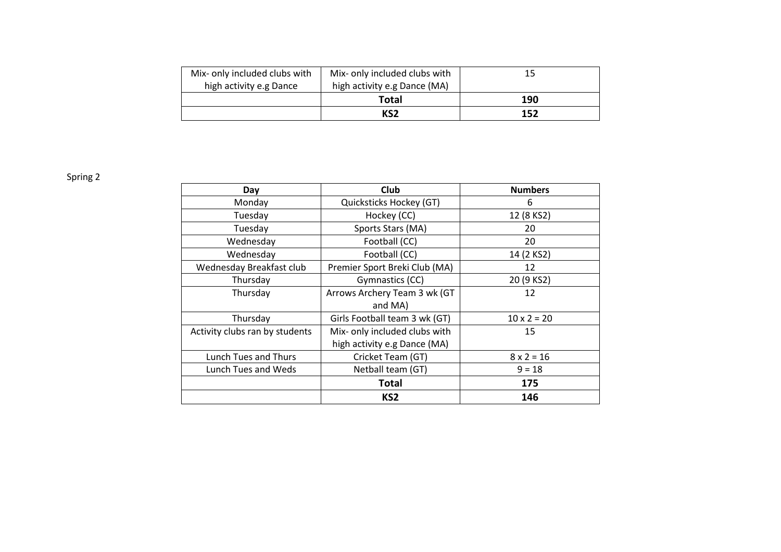| Mix- only included clubs with | Mix- only included clubs with | 15  |
|-------------------------------|-------------------------------|-----|
| high activity e.g Dance       | high activity e.g Dance (MA)  |     |
|                               | Total                         | 190 |
|                               | KS2                           | 152 |

Spring 2

| Day                            | <b>Club</b>                   | <b>Numbers</b>     |
|--------------------------------|-------------------------------|--------------------|
| Monday                         | Quicksticks Hockey (GT)       | 6                  |
| Tuesday                        | Hockey (CC)                   | 12 (8 KS2)         |
| Tuesday                        | Sports Stars (MA)             | 20                 |
| Wednesday                      | Football (CC)                 | 20                 |
| Wednesday                      | Football (CC)                 | 14 (2 KS2)         |
| Wednesday Breakfast club       | Premier Sport Breki Club (MA) | 12                 |
| Thursday                       | Gymnastics (CC)               | 20 (9 KS2)         |
| Thursday                       | Arrows Archery Team 3 wk (GT  | 12                 |
|                                | and MA)                       |                    |
| Thursday                       | Girls Football team 3 wk (GT) | $10 \times 2 = 20$ |
| Activity clubs ran by students | Mix- only included clubs with | 15                 |
|                                | high activity e.g Dance (MA)  |                    |
| Lunch Tues and Thurs           | Cricket Team (GT)             | $8 \times 2 = 16$  |
| Lunch Tues and Weds            | $9 = 18$<br>Netball team (GT) |                    |
|                                | Total                         | 175                |
|                                | KS <sub>2</sub>               | 146                |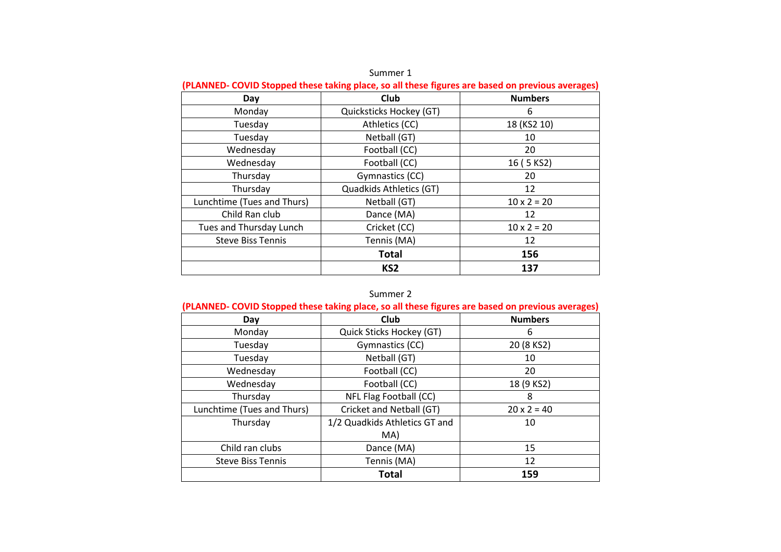| (PLANNED- COVID Stopped these taking place, so all these figures are based on previous averages) |                         |                    |  |  |  |  |
|--------------------------------------------------------------------------------------------------|-------------------------|--------------------|--|--|--|--|
| Day                                                                                              | Club                    | <b>Numbers</b>     |  |  |  |  |
| Monday                                                                                           | Quicksticks Hockey (GT) | 6                  |  |  |  |  |
| Tuesday                                                                                          | Athletics (CC)          | 18 (KS2 10)        |  |  |  |  |
| Tuesday                                                                                          | Netball (GT)            | 10                 |  |  |  |  |
| Wednesday                                                                                        | Football (CC)           | 20                 |  |  |  |  |
| Wednesday                                                                                        | Football (CC)           | 16 (5 KS2)         |  |  |  |  |
| Thursday                                                                                         | Gymnastics (CC)         | 20                 |  |  |  |  |
| Thursday                                                                                         | Quadkids Athletics (GT) | 12                 |  |  |  |  |
| Lunchtime (Tues and Thurs)                                                                       | Netball (GT)            | $10 \times 2 = 20$ |  |  |  |  |
| Child Ran club                                                                                   | Dance (MA)              | 12                 |  |  |  |  |
| Tues and Thursday Lunch                                                                          | Cricket (CC)            | $10 \times 2 = 20$ |  |  |  |  |
| <b>Steve Biss Tennis</b>                                                                         | Tennis (MA)             | 12                 |  |  |  |  |
|                                                                                                  | <b>Total</b>            | 156                |  |  |  |  |
|                                                                                                  | KS <sub>2</sub>         | 137                |  |  |  |  |

Summer 1

# Summer 2

| (PLANNED- COVID Stopped these taking place, so all these figures are based on previous averages) |                               |                    |  |  |  |  |  |
|--------------------------------------------------------------------------------------------------|-------------------------------|--------------------|--|--|--|--|--|
| Day                                                                                              | Club                          | <b>Numbers</b>     |  |  |  |  |  |
| Monday                                                                                           | Quick Sticks Hockey (GT)      | 6                  |  |  |  |  |  |
| Tuesday                                                                                          | Gymnastics (CC)               | 20 (8 KS2)         |  |  |  |  |  |
| Tuesday                                                                                          | Netball (GT)                  | 10                 |  |  |  |  |  |
| Wednesday                                                                                        | Football (CC)                 | 20                 |  |  |  |  |  |
| Wednesday                                                                                        | Football (CC)                 | 18 (9 KS2)         |  |  |  |  |  |
| Thursday                                                                                         | NFL Flag Football (CC)<br>8   |                    |  |  |  |  |  |
| Lunchtime (Tues and Thurs)                                                                       | Cricket and Netball (GT)      | $20 \times 2 = 40$ |  |  |  |  |  |
| Thursday                                                                                         | 1/2 Quadkids Athletics GT and | 10                 |  |  |  |  |  |
|                                                                                                  | MA)                           |                    |  |  |  |  |  |
| Child ran clubs                                                                                  | Dance (MA)                    | 15                 |  |  |  |  |  |
| <b>Steve Biss Tennis</b>                                                                         | Tennis (MA)                   | 12                 |  |  |  |  |  |
|                                                                                                  | <b>Total</b>                  | 159                |  |  |  |  |  |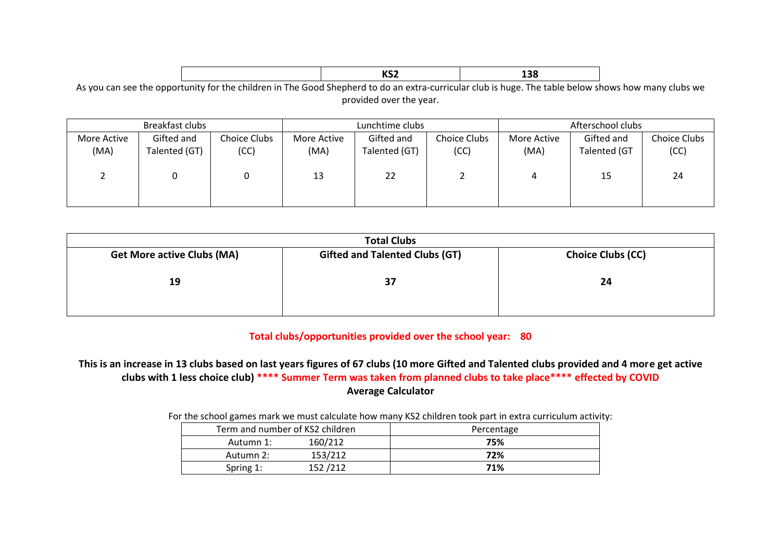|   |     |   |   |  |  | 1002<br>RJZ |  |   | 120<br>TJO |
|---|-----|---|---|--|--|-------------|--|---|------------|
| . | . . | . | . |  |  |             |  | . | — .<br>.   |

As you can see the opportunity for the children in The Good Shepherd to do an extra-curricular club is huge. The table below shows how many clubs we provided over the year.

|                     | Breakfast clubs             |                             | Lunchtime clubs     |                             |                             | Afterschool clubs   |                            |                      |
|---------------------|-----------------------------|-----------------------------|---------------------|-----------------------------|-----------------------------|---------------------|----------------------------|----------------------|
| More Active<br>(MA) | Gifted and<br>Talented (GT) | <b>Choice Clubs</b><br>(CC) | More Active<br>(MA) | Gifted and<br>Talented (GT) | <b>Choice Clubs</b><br>(CC) | More Active<br>(MA) | Gifted and<br>Talented (GT | Choice Clubs<br>(CC) |
|                     |                             |                             |                     |                             |                             |                     |                            |                      |
|                     |                             |                             | 13                  | 22                          |                             | 4                   | 15                         | 24                   |
|                     |                             |                             |                     |                             |                             |                     |                            |                      |

| <b>Total Clubs</b>                |                                       |                          |  |  |  |  |  |
|-----------------------------------|---------------------------------------|--------------------------|--|--|--|--|--|
| <b>Get More active Clubs (MA)</b> | <b>Gifted and Talented Clubs (GT)</b> | <b>Choice Clubs (CC)</b> |  |  |  |  |  |
| 19                                | 37                                    | 24                       |  |  |  |  |  |

# **Total clubs/opportunities provided over the school year: 80**

**This is an increase in 13 clubs based on last years figures of 67 clubs (10 more Gifted and Talented clubs provided and 4 more get active clubs with 1 less choice club) \*\*\*\* Summer Term was taken from planned clubs to take place\*\*\*\* effected by COVID Average Calculator**

### For the school games mark we must calculate how many KS2 children took part in extra curriculum activity:

| Term and number of KS2 children |         | Percentage |
|---------------------------------|---------|------------|
| Autumn 1:                       | 160/212 | 75%        |
| Autumn 2:                       | 153/212 | 72%        |
| Spring 1:                       | 152/212 | 71%        |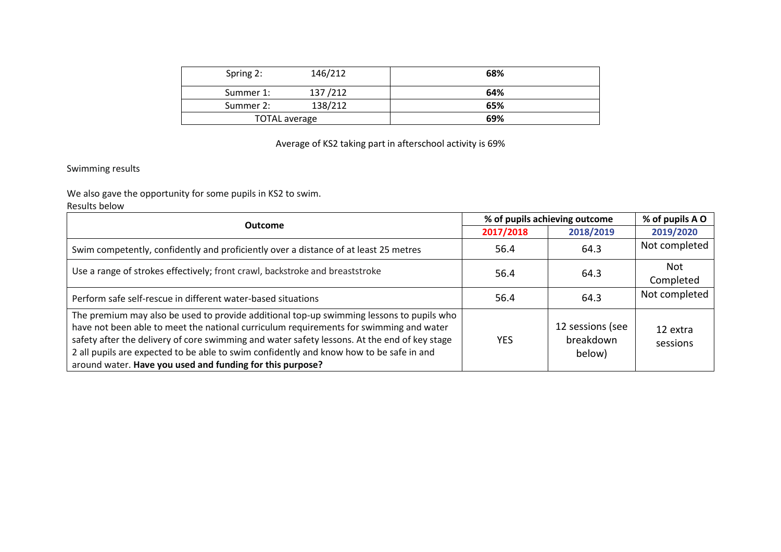| Spring 2:            | 146/212 | 68% |
|----------------------|---------|-----|
| Summer 1:            | 137/212 | 64% |
| Summer 2:            | 138/212 | 65% |
| <b>TOTAL average</b> |         | 69% |

# Average of KS2 taking part in afterschool activity is 69%

# Swimming results

We also gave the opportunity for some pupils in KS2 to swim.

# Results below

| <b>Outcome</b>                                                                                                                                                                                                                                                                                                                                                                                                                             | % of pupils achieving outcome |                                         | % of pupils A O      |
|--------------------------------------------------------------------------------------------------------------------------------------------------------------------------------------------------------------------------------------------------------------------------------------------------------------------------------------------------------------------------------------------------------------------------------------------|-------------------------------|-----------------------------------------|----------------------|
|                                                                                                                                                                                                                                                                                                                                                                                                                                            | 2017/2018                     | 2018/2019                               | 2019/2020            |
| Swim competently, confidently and proficiently over a distance of at least 25 metres                                                                                                                                                                                                                                                                                                                                                       | 56.4                          | 64.3                                    | Not completed        |
| Use a range of strokes effectively; front crawl, backstroke and breaststroke                                                                                                                                                                                                                                                                                                                                                               |                               | 64.3<br>56.4                            |                      |
|                                                                                                                                                                                                                                                                                                                                                                                                                                            |                               |                                         | Completed            |
| Perform safe self-rescue in different water-based situations                                                                                                                                                                                                                                                                                                                                                                               | 56.4                          | 64.3                                    | Not completed        |
| The premium may also be used to provide additional top-up swimming lessons to pupils who<br>have not been able to meet the national curriculum requirements for swimming and water<br>safety after the delivery of core swimming and water safety lessons. At the end of key stage<br>2 all pupils are expected to be able to swim confidently and know how to be safe in and<br>around water. Have you used and funding for this purpose? | <b>YES</b>                    | 12 sessions (see<br>breakdown<br>below) | 12 extra<br>sessions |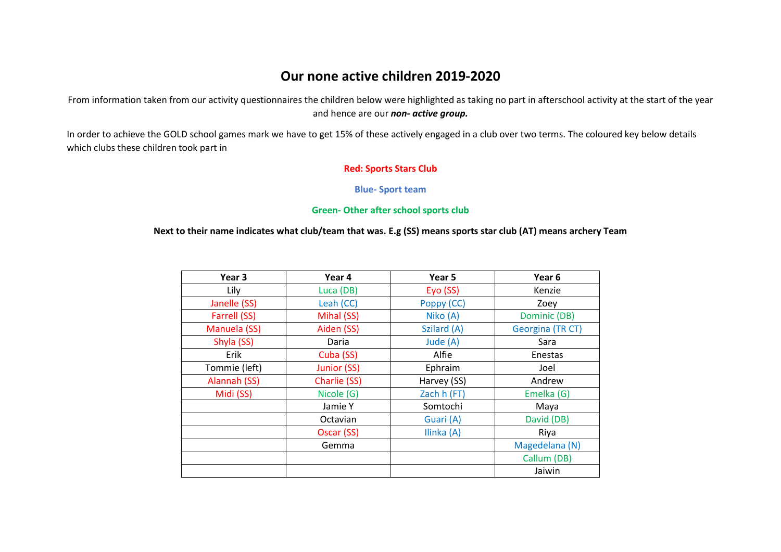# **Our none active children 2019-2020**

From information taken from our activity questionnaires the children below were highlighted as taking no part in afterschool activity at the start of the year and hence are our *non- active group.*

In order to achieve the GOLD school games mark we have to get 15% of these actively engaged in a club over two terms. The coloured key below details which clubs these children took part in

### **Red: Sports Stars Club**

### **Blue- Sport team**

### **Green- Other after school sports club**

### **Next to their name indicates what club/team that was. E.g (SS) means sports star club (AT) means archery Team**

| Year 3        | Year 4       | Year 5      | Year 6           |
|---------------|--------------|-------------|------------------|
| Lily          | Luca (DB)    | Eyo (SS)    | Kenzie           |
| Janelle (SS)  | Leah (CC)    | Poppy (CC)  | Zoey             |
| Farrell (SS)  | Mihal (SS)   | Niko (A)    | Dominic (DB)     |
| Manuela (SS)  | Aiden (SS)   | Szilard (A) | Georgina (TR CT) |
| Shyla (SS)    | Daria        | Jude (A)    | Sara             |
| Erik          | Cuba (SS)    | Alfie       | Enestas          |
| Tommie (left) | Junior (SS)  | Ephraim     | Joel             |
| Alannah (SS)  | Charlie (SS) | Harvey (SS) | Andrew           |
| Midi (SS)     | Nicole (G)   | Zach h (FT) | Emelka (G)       |
|               | Jamie Y      | Somtochi    | Maya             |
|               | Octavian     | Guari (A)   | David (DB)       |
|               | Oscar (SS)   | Ilinka (A)  | Riya             |
|               | Gemma        |             | Magedelana (N)   |
|               |              |             | Callum (DB)      |
|               |              |             | Jaiwin           |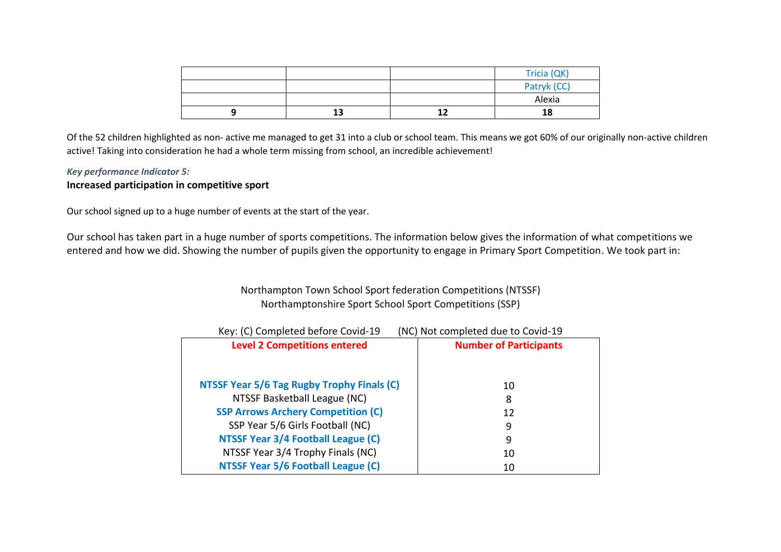|  | Tricia (QK) |
|--|-------------|
|  | Patryk (CC) |
|  | Alexia      |
|  | 18          |

Of the 52 children highlighted as non- active me managed to get 31 into a club or school team. This means we got 60% of our originally non-active children active! Taking into consideration he had a whole term missing from school, an incredible achievement!

# *Key performance Indicator 5:* **Increased participation in competitive sport**

Our school signed up to a huge number of events at the start of the year.

Our school has taken part in a huge number of sports competitions. The information below gives the information of what competitions we entered and how we did. Showing the number of pupils given the opportunity to engage in Primary Sport Competition. We took part in:

# Northampton Town School Sport federation Competitions (NTSSF) Northamptonshire Sport School Sport Competitions (SSP)

| Key: (C) Completed before Covid-19         | (NC) Not completed due to Covid-19 |
|--------------------------------------------|------------------------------------|
| <b>Level 2 Competitions entered</b>        | <b>Number of Participants</b>      |
|                                            |                                    |
|                                            |                                    |
| NTSSF Year 5/6 Tag Rugby Trophy Finals (C) | 10                                 |
| NTSSF Basketball League (NC)               | 8                                  |
| <b>SSP Arrows Archery Competition (C)</b>  | 12                                 |
| SSP Year 5/6 Girls Football (NC)           | 9                                  |
| NTSSF Year 3/4 Football League (C)         | 9                                  |
| NTSSF Year 3/4 Trophy Finals (NC)          | 10                                 |
| <b>NTSSF Year 5/6 Football League (C)</b>  | 10                                 |
|                                            |                                    |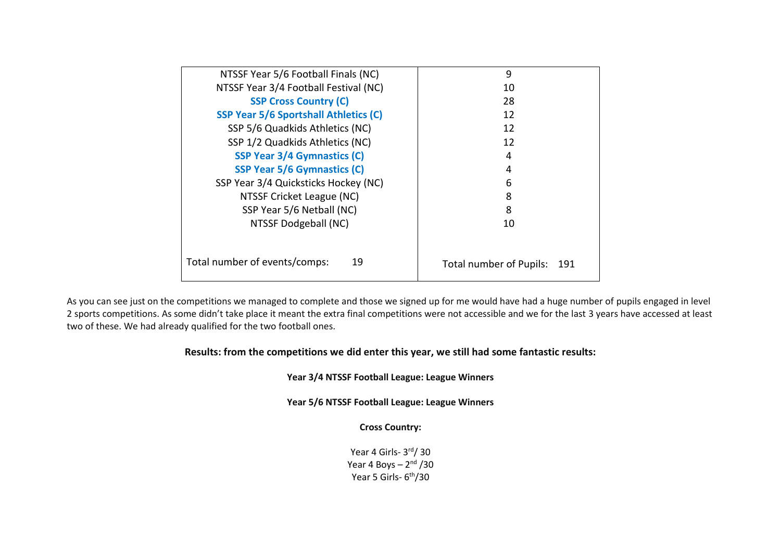| NTSSF Year 5/6 Football Finals (NC)          | 9                              |  |  |
|----------------------------------------------|--------------------------------|--|--|
| NTSSF Year 3/4 Football Festival (NC)        | 10                             |  |  |
| <b>SSP Cross Country (C)</b>                 | 28                             |  |  |
| <b>SSP Year 5/6 Sportshall Athletics (C)</b> | 12                             |  |  |
| SSP 5/6 Quadkids Athletics (NC)              | 12                             |  |  |
| SSP 1/2 Quadkids Athletics (NC)              | 12                             |  |  |
| <b>SSP Year 3/4 Gymnastics (C)</b>           | 4                              |  |  |
| <b>SSP Year 5/6 Gymnastics (C)</b>           | 4                              |  |  |
| SSP Year 3/4 Quicksticks Hockey (NC)         | 6                              |  |  |
| NTSSF Cricket League (NC)                    | 8                              |  |  |
| SSP Year 5/6 Netball (NC)                    | 8                              |  |  |
| NTSSF Dodgeball (NC)                         | 10                             |  |  |
|                                              |                                |  |  |
| Total number of events/comps:<br>19          | Total number of Pupils:<br>191 |  |  |

As you can see just on the competitions we managed to complete and those we signed up for me would have had a huge number of pupils engaged in level 2 sports competitions. As some didn't take place it meant the extra final competitions were not accessible and we for the last 3 years have accessed at least two of these. We had already qualified for the two football ones.

# **Results: from the competitions we did enter this year, we still had some fantastic results:**

# **Year 3/4 NTSSF Football League: League Winners**

**Year 5/6 NTSSF Football League: League Winners**

### **Cross Country:**

Year 4 Girls- 3<sup>rd</sup>/ 30 Year 4 Boys – 2<sup>nd</sup> /30 Year 5 Girls- 6<sup>th</sup>/30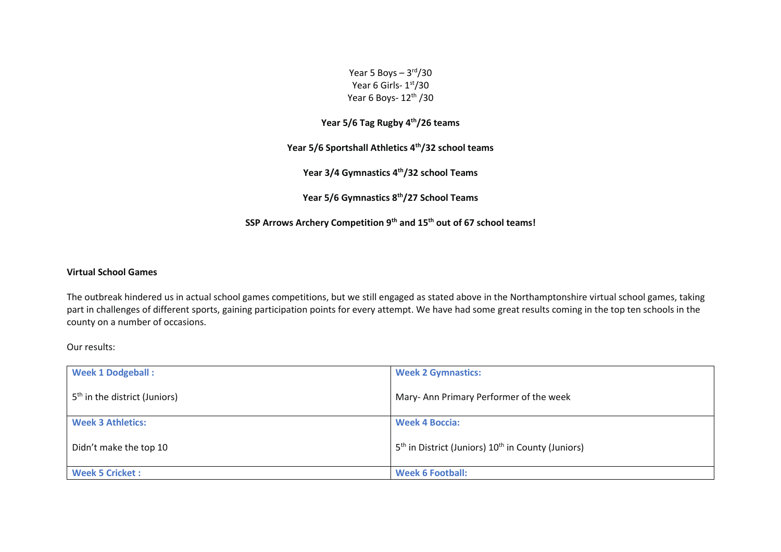Year 5 Boys – 3<sup>rd</sup>/30 Year 6 Girls- 1st/30 Year 6 Boys- 12<sup>th</sup> /30

**Year 5/6 Tag Rugby 4th/26 teams**

**Year 5/6 Sportshall Athletics 4th/32 school teams**

**Year 3/4 Gymnastics 4th/32 school Teams**

**Year 5/6 Gymnastics 8th/27 School Teams**

**SSP Arrows Archery Competition 9th and 15th out of 67 school teams!**

### **Virtual School Games**

The outbreak hindered us in actual school games competitions, but we still engaged as stated above in the Northamptonshire virtual school games, taking part in challenges of different sports, gaining participation points for every attempt. We have had some great results coming in the top ten schools in the county on a number of occasions.

Our results:

| <b>Week 1 Dodgeball:</b>                  | <b>Week 2 Gymnastics:</b>                                                  |
|-------------------------------------------|----------------------------------------------------------------------------|
| 5 <sup>th</sup> in the district (Juniors) | Mary-Ann Primary Performer of the week                                     |
| <b>Week 3 Athletics:</b>                  | <b>Week 4 Boccia:</b>                                                      |
| Didn't make the top 10                    | 5 <sup>th</sup> in District (Juniors) 10 <sup>th</sup> in County (Juniors) |
| <b>Week 5 Cricket:</b>                    | <b>Week 6 Football:</b>                                                    |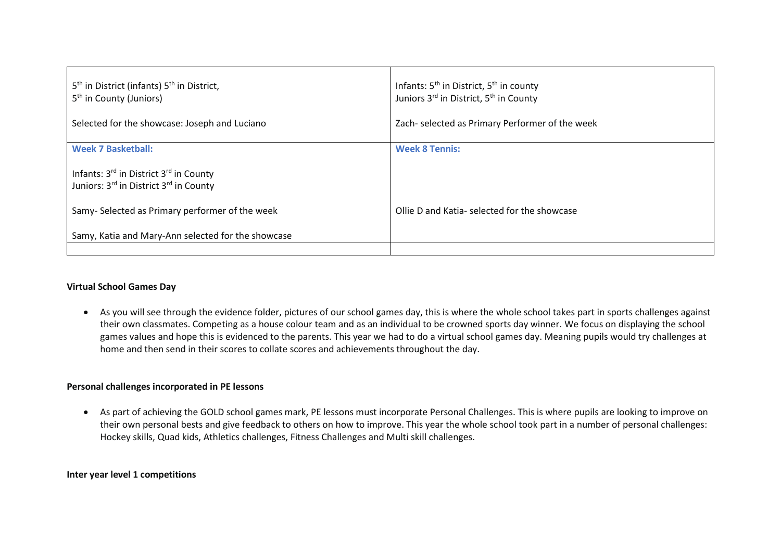| 5 <sup>th</sup> in District (infants) 5 <sup>th</sup> in District,<br>5 <sup>th</sup> in County (Juniors) | Infants: 5 <sup>th</sup> in District, 5 <sup>th</sup> in county<br>Juniors 3rd in District, 5 <sup>th</sup> in County |
|-----------------------------------------------------------------------------------------------------------|-----------------------------------------------------------------------------------------------------------------------|
| Selected for the showcase: Joseph and Luciano                                                             | Zach- selected as Primary Performer of the week                                                                       |
| <b>Week 7 Basketball:</b>                                                                                 | <b>Week 8 Tennis:</b>                                                                                                 |
| Infants: 3rd in District 3rd in County<br>Juniors: 3rd in District 3rd in County                          |                                                                                                                       |
| Samy-Selected as Primary performer of the week                                                            | Ollie D and Katia-selected for the showcase                                                                           |
| Samy, Katia and Mary-Ann selected for the showcase                                                        |                                                                                                                       |
|                                                                                                           |                                                                                                                       |

### **Virtual School Games Day**

 As you will see through the evidence folder, pictures of our school games day, this is where the whole school takes part in sports challenges against their own classmates. Competing as a house colour team and as an individual to be crowned sports day winner. We focus on displaying the school games values and hope this is evidenced to the parents. This year we had to do a virtual school games day. Meaning pupils would try challenges at home and then send in their scores to collate scores and achievements throughout the day.

### **Personal challenges incorporated in PE lessons**

 As part of achieving the GOLD school games mark, PE lessons must incorporate Personal Challenges. This is where pupils are looking to improve on their own personal bests and give feedback to others on how to improve. This year the whole school took part in a number of personal challenges: Hockey skills, Quad kids, Athletics challenges, Fitness Challenges and Multi skill challenges.

### **Inter year level 1 competitions**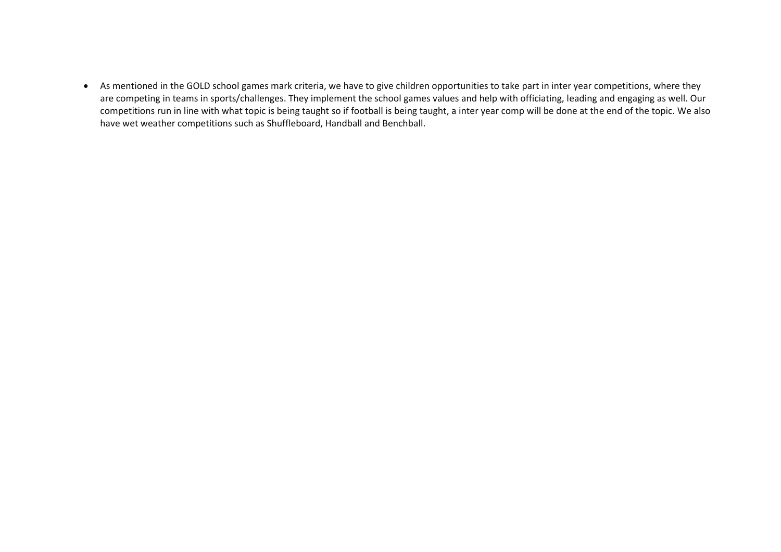As mentioned in the GOLD school games mark criteria, we have to give children opportunities to take part in inter year competitions, where they are competing in teams in sports/challenges. They implement the school games values and help with officiating, leading and engaging as well. Our competitions run in line with what topic is being taught so if football is being taught, a inter year comp will be done at the end of the topic. We also have wet weather competitions such as Shuffleboard, Handball and Benchball.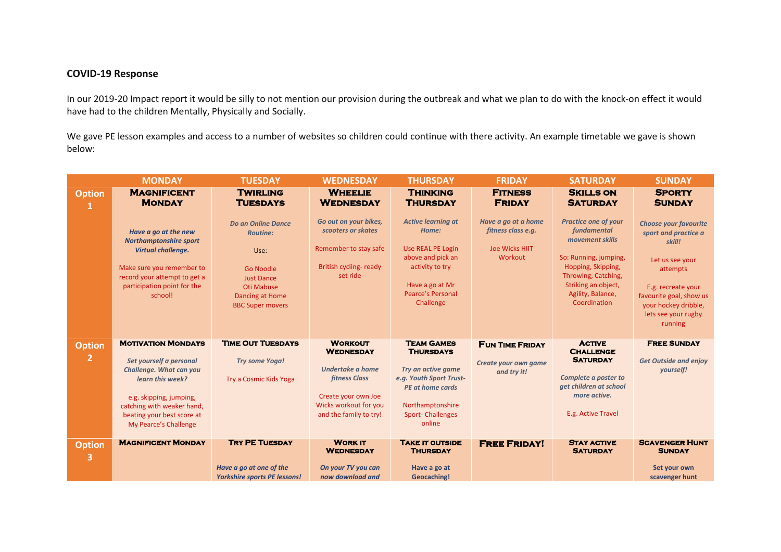# **COVID-19 Response**

In our 2019-20 Impact report it would be silly to not mention our provision during the outbreak and what we plan to do with the knock-on effect it would have had to the children Mentally, Physically and Socially.

We gave PE lesson examples and access to a number of websites so children could continue with there activity. An example timetable we gave is shown below:

|                                 | <b>MONDAY</b>                                                                                                                                                                                                              | <b>TUESDAY</b>                                                                                                                                            | <b>WEDNESDAY</b>                                                                                                                                  | <b>THURSDAY</b>                                                                                                                                                            | <b>FRIDAY</b>                                                                 | <b>SATURDAY</b>                                                                                                                                                                                 | <b>SUNDAY</b>                                                                                                                                                                                            |
|---------------------------------|----------------------------------------------------------------------------------------------------------------------------------------------------------------------------------------------------------------------------|-----------------------------------------------------------------------------------------------------------------------------------------------------------|---------------------------------------------------------------------------------------------------------------------------------------------------|----------------------------------------------------------------------------------------------------------------------------------------------------------------------------|-------------------------------------------------------------------------------|-------------------------------------------------------------------------------------------------------------------------------------------------------------------------------------------------|----------------------------------------------------------------------------------------------------------------------------------------------------------------------------------------------------------|
| <b>Option</b>                   | <b>MAGNIFICENT</b><br><b>MONDAY</b>                                                                                                                                                                                        | <b>TWIRLING</b><br><b>TUESDAYS</b>                                                                                                                        | <b>WHEELIE</b><br><b>WEDNESDAY</b>                                                                                                                | <b>THINKING</b><br><b>THURSDAY</b>                                                                                                                                         | <b>FITNESS</b><br><b>FRIDAY</b>                                               | <b>SKILLS ON</b><br><b>SATURDAY</b>                                                                                                                                                             | <b>SPORTY</b><br><b>SUNDAY</b>                                                                                                                                                                           |
|                                 | Have a go at the new<br><b>Northamptonshire sport</b><br><b>Virtual challenge.</b><br>Make sure you remember to<br>record your attempt to get a<br>participation point for the<br>school!                                  | <b>Do an Online Dance</b><br><b>Routine:</b><br>Use:<br>Go Noodle<br><b>Just Dance</b><br><b>Oti Mabuse</b><br>Dancing at Home<br><b>BBC Super movers</b> | Go out on your bikes,<br>scooters or skates<br>Remember to stay safe<br>British cycling-ready<br>set ride                                         | <b>Active learning at</b><br>Home:<br>Use REAL PE Login<br>above and pick an<br>activity to try<br>Have a go at Mr<br><b>Pearce's Personal</b><br>Challenge                | Have a go at a home<br>fitness class e.g.<br><b>Joe Wicks HIIT</b><br>Workout | <b>Practice one of your</b><br>fundamental<br>movement skills<br>So: Running, jumping,<br>Hopping, Skipping,<br>Throwing, Catching,<br>Striking an object,<br>Agility, Balance,<br>Coordination | <b>Choose your favourite</b><br>sport and practice a<br>skill!<br>Let us see your<br>attempts<br>E.g. recreate your<br>favourite goal, show us<br>your hockey dribble,<br>lets see your rugby<br>running |
| <b>Option</b><br>$\overline{2}$ | <b>MOTIVATION MONDAYS</b><br>Set yourself a personal<br><b>Challenge. What can you</b><br>learn this week?<br>e.g. skipping, jumping,<br>catching with weaker hand,<br>beating your best score at<br>My Pearce's Challenge | <b>TIME OUT TUESDAYS</b><br><b>Try some Yoga!</b><br><b>Try a Cosmic Kids Yoga</b>                                                                        | <b>WORKOUT</b><br><b>WEDNESDAY</b><br>Undertake a home<br>fitness Class<br>Create your own Joe<br>Wicks workout for you<br>and the family to try! | <b>TEAM GAMES</b><br><b>THURSDAYS</b><br>Try an active game<br>e.g. Youth Sport Trust-<br><b>PE at home cards</b><br>Northamptonshire<br><b>Sport-Challenges</b><br>online | <b>FUN TIME FRIDAY</b><br>Create your own game<br>and try it!                 | <b>ACTIVE</b><br><b>CHALLENGE</b><br><b>SATURDAY</b><br>Complete a poster to<br>get children at school<br>more active.<br>E.g. Active Travel                                                    | <b>FREE SUNDAY</b><br><b>Get Outside and enjoy</b><br>yourself!                                                                                                                                          |
| <b>Option</b><br>3              | <b>MAGNIFICENT MONDAY</b>                                                                                                                                                                                                  | <b>TRY PE TUESDAY</b><br>Have a go at one of the<br><b>Yorkshire sports PE lessons!</b>                                                                   | <b>WORK IT</b><br><b>WEDNESDAY</b><br>On your TV you can<br>now download and                                                                      | <b>TAKE IT OUTSIDE</b><br><b>THURSDAY</b><br>Have a go at<br>Geocaching!                                                                                                   | <b>FREE FRIDAY!</b>                                                           | <b>STAY ACTIVE</b><br><b>SATURDAY</b>                                                                                                                                                           | <b>SCAVENGER HUNT</b><br><b>SUNDAY</b><br>Set your own<br>scavenger hunt                                                                                                                                 |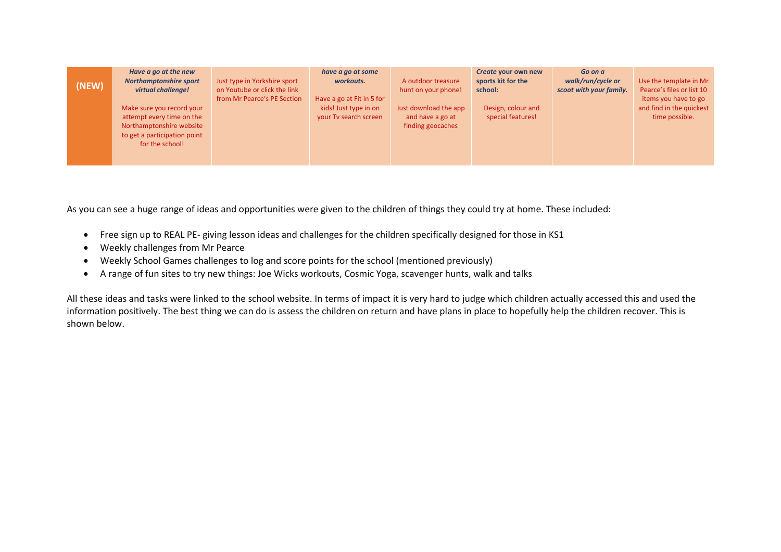| (NEW) | Have a go at the new<br><b>Northamptonshire sport</b><br>virtual challenge!                                                           | Just type in Yorkshire sport<br>on Youtube or click the link<br>from Mr Pearce's PE Section | have a go at some<br>workouts.<br>Have a go at Fit in 5 for | A outdoor treasure<br>hunt on your phone!                      | Create your own new<br>sports kit for the<br>school: | Go on a<br>walk/run/cycle or<br>scoot with your family. | Use the template in Mr<br>Pearce's files or list 10<br>items you have to go |
|-------|---------------------------------------------------------------------------------------------------------------------------------------|---------------------------------------------------------------------------------------------|-------------------------------------------------------------|----------------------------------------------------------------|------------------------------------------------------|---------------------------------------------------------|-----------------------------------------------------------------------------|
|       | Make sure you record your<br>attempt every time on the<br>Northamptonshire website<br>to get a participation point<br>for the school! |                                                                                             | kids! Just type in on<br>your Tv search screen              | Just download the app<br>and have a go at<br>finding geocaches | Design, colour and<br>special features!              |                                                         | and find in the quickest<br>time possible.                                  |

As you can see a huge range of ideas and opportunities were given to the children of things they could try at home. These included:

- Free sign up to REAL PE- giving lesson ideas and challenges for the children specifically designed for those in KS1
- Weekly challenges from Mr Pearce
- Weekly School Games challenges to log and score points for the school (mentioned previously)
- A range of fun sites to try new things: Joe Wicks workouts, Cosmic Yoga, scavenger hunts, walk and talks

All these ideas and tasks were linked to the school website. In terms of impact it is very hard to judge which children actually accessed this and used the information positively. The best thing we can do is assess the children on return and have plans in place to hopefully help the children recover. This is shown below.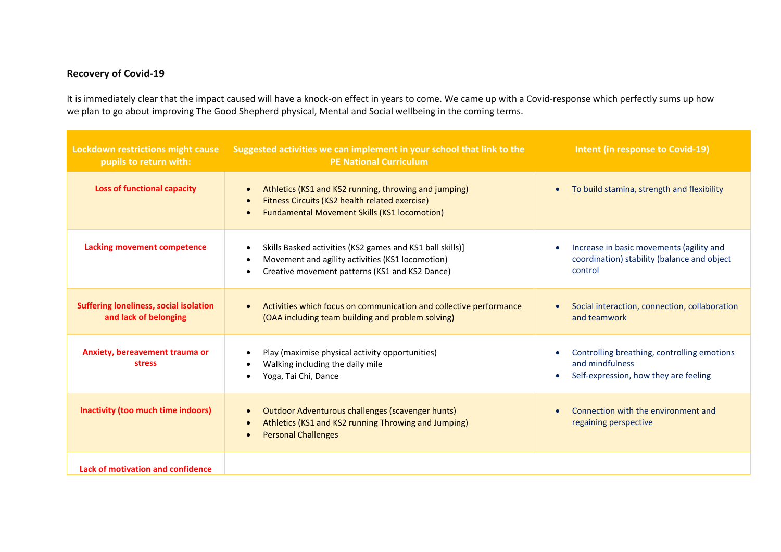# **Recovery of Covid-19**

It is immediately clear that the impact caused will have a knock-on effect in years to come. We came up with a Covid-response which perfectly sums up how we plan to go about improving The Good Shepherd physical, Mental and Social wellbeing in the coming terms.

| Lockdown restrictions might cause<br>pupils to return with:            | Suggested activities we can implement in your school that link to the<br><b>PE National Curriculum</b>                                                                      | <b>Intent (in response to Covid-19)</b>                                                                         |
|------------------------------------------------------------------------|-----------------------------------------------------------------------------------------------------------------------------------------------------------------------------|-----------------------------------------------------------------------------------------------------------------|
| <b>Loss of functional capacity</b>                                     | Athletics (KS1 and KS2 running, throwing and jumping)<br>Fitness Circuits (KS2 health related exercise)<br>$\bullet$<br><b>Fundamental Movement Skills (KS1 locomotion)</b> | To build stamina, strength and flexibility<br>$\bullet$                                                         |
| <b>Lacking movement competence</b>                                     | Skills Basked activities (KS2 games and KS1 ball skills)]<br>Movement and agility activities (KS1 locomotion)<br>Creative movement patterns (KS1 and KS2 Dance)             | Increase in basic movements (agility and<br>$\bullet$<br>coordination) stability (balance and object<br>control |
| <b>Suffering loneliness, social isolation</b><br>and lack of belonging | Activities which focus on communication and collective performance<br>(OAA including team building and problem solving)                                                     | Social interaction, connection, collaboration<br>$\bullet$<br>and teamwork                                      |
| Anxiety, bereavement trauma or<br><b>stress</b>                        | Play (maximise physical activity opportunities)<br>Walking including the daily mile<br>Yoga, Tai Chi, Dance                                                                 | Controlling breathing, controlling emotions<br>and mindfulness<br>Self-expression, how they are feeling         |
| Inactivity (too much time indoors)                                     | Outdoor Adventurous challenges (scavenger hunts)<br>$\bullet$<br>Athletics (KS1 and KS2 running Throwing and Jumping)<br>$\bullet$<br><b>Personal Challenges</b>            | Connection with the environment and<br>regaining perspective                                                    |
| Lack of motivation and confidence                                      |                                                                                                                                                                             |                                                                                                                 |